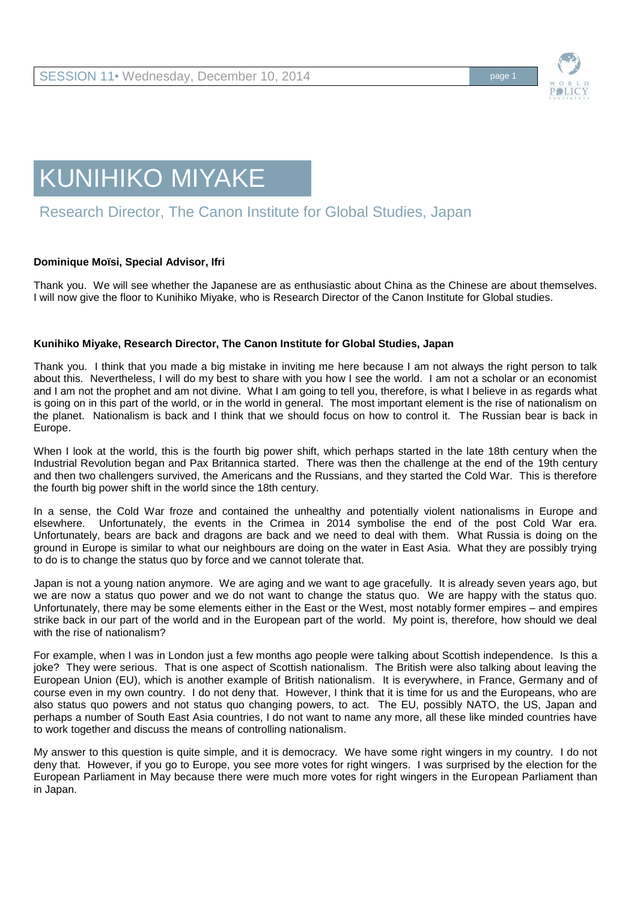

## KUNIHIKO MIYAKE

## Research Director, The Canon Institute for Global Studies, Japan

## **Dominique Moïsi, Special Advisor, Ifri**

Thank you. We will see whether the Japanese are as enthusiastic about China as the Chinese are about themselves. I will now give the floor to Kunihiko Miyake, who is Research Director of the Canon Institute for Global studies.

## **Kunihiko Miyake, Research Director, The Canon Institute for Global Studies, Japan**

Thank you. I think that you made a big mistake in inviting me here because I am not always the right person to talk about this. Nevertheless, I will do my best to share with you how I see the world. I am not a scholar or an economist and I am not the prophet and am not divine. What I am going to tell you, therefore, is what I believe in as regards what is going on in this part of the world, or in the world in general. The most important element is the rise of nationalism on the planet. Nationalism is back and I think that we should focus on how to control it. The Russian bear is back in Europe.

When I look at the world, this is the fourth big power shift, which perhaps started in the late 18th century when the Industrial Revolution began and Pax Britannica started. There was then the challenge at the end of the 19th century and then two challengers survived, the Americans and the Russians, and they started the Cold War. This is therefore the fourth big power shift in the world since the 18th century.

In a sense, the Cold War froze and contained the unhealthy and potentially violent nationalisms in Europe and elsewhere. Unfortunately, the events in the Crimea in 2014 symbolise the end of the post Cold War era. Unfortunately, bears are back and dragons are back and we need to deal with them. What Russia is doing on the ground in Europe is similar to what our neighbours are doing on the water in East Asia. What they are possibly trying to do is to change the status quo by force and we cannot tolerate that.

Japan is not a young nation anymore. We are aging and we want to age gracefully. It is already seven years ago, but we are now a status quo power and we do not want to change the status quo. We are happy with the status quo. Unfortunately, there may be some elements either in the East or the West, most notably former empires – and empires strike back in our part of the world and in the European part of the world. My point is, therefore, how should we deal with the rise of nationalism?

For example, when I was in London just a few months ago people were talking about Scottish independence. Is this a joke? They were serious. That is one aspect of Scottish nationalism. The British were also talking about leaving the European Union (EU), which is another example of British nationalism. It is everywhere, in France, Germany and of course even in my own country. I do not deny that. However, I think that it is time for us and the Europeans, who are also status quo powers and not status quo changing powers, to act. The EU, possibly NATO, the US, Japan and perhaps a number of South East Asia countries, I do not want to name any more, all these like minded countries have to work together and discuss the means of controlling nationalism.

My answer to this question is quite simple, and it is democracy. We have some right wingers in my country. I do not deny that. However, if you go to Europe, you see more votes for right wingers. I was surprised by the election for the European Parliament in May because there were much more votes for right wingers in the European Parliament than in Japan.